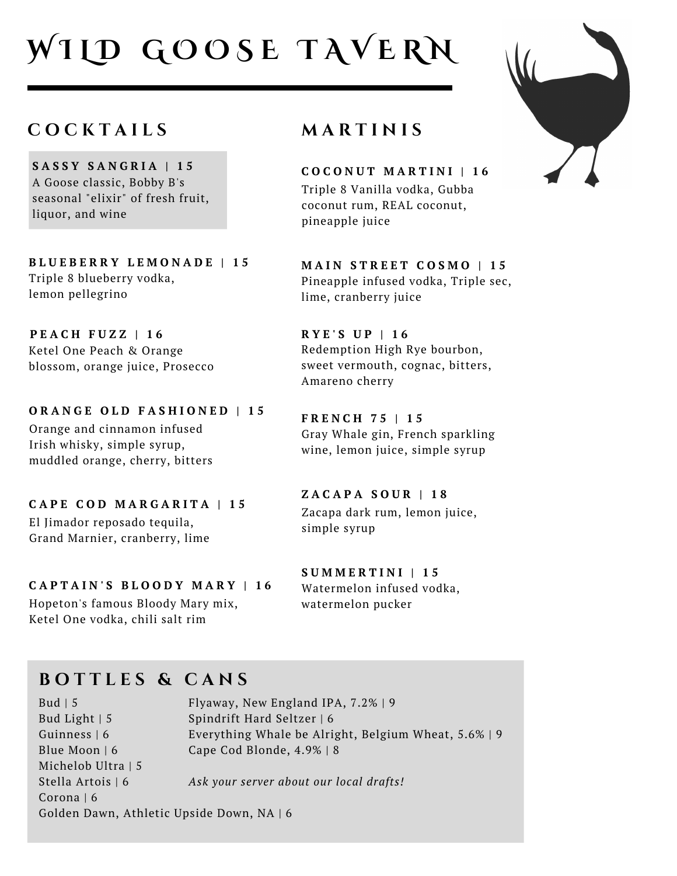# **W I L D G O O S E T A V E R N**

#### **C O C K T A I L S**

**S A S S Y S A N G R I A | 1 5** A Goose classic, Bobby B's seasonal "elixir" of fresh fruit, liquor, and wine

**B L U E B E R R Y L E M O N A D E | 1 5** Triple 8 blueberry vodka, lemon pellegrino

**P E A C H F U Z Z | 1 6** Ketel One Peach & Orange blossom, orange juice, Prosecco

**O R A N G E O L D F A S H I O N E D | 1 5** Orange and cinnamon infused Irish whisky, simple syrup, muddled orange, cherry, bitters

**C A P E C O D M A R G A R I T A | 1 5** El Jimador reposado tequila, Grand Marnier, cranberry, lime

**C A P T A I N ' S B L O O D Y M A R Y | 1 6**

Hopeton's famous Bloody Mary mix, Ketel One vodka, chili salt rim

#### **M A R T I N I S**

**C O C O N U T M A R T I N I | 1 6** Triple 8 Vanilla vodka, Gubba coconut rum, REAL coconut, pineapple juice

**M A I N S T R E E T C O S M O | 1 5** Pineapple infused vodka, Triple sec, lime, cranberry juice

**R Y E ' S U P | 1 6** Redemption High Rye bourbon, sweet vermouth, cognac, bitters, Amareno cherry

**F R E N C H 7 5 | 1 5** Gray Whale gin, French sparkling wine, lemon juice, simple syrup

**Z A C A P A S O U R | 1 8** Zacapa dark rum, lemon juice, simple syrup

**S U M M E R T I N I | 1 5** Watermelon infused vodka, watermelon pucker

### **B O T T L E S & C A N S**

Bud  $\vert 5$ Bud Light | 5 Guinness | 6 Blue Moon | 6 Michelob Ultra | 5 Stella Artois | 6 Corona | 6 Golden Dawn, Athletic Upside Down, NA | 6 Flyaway, New England IPA, 7.2% | 9 Spindrift Hard Seltzer | 6 Everything Whale be Alright, Belgium Wheat, 5.6% | 9 Cape Cod Blonde, 4.9% | 8 *Ask your server about our local drafts!*